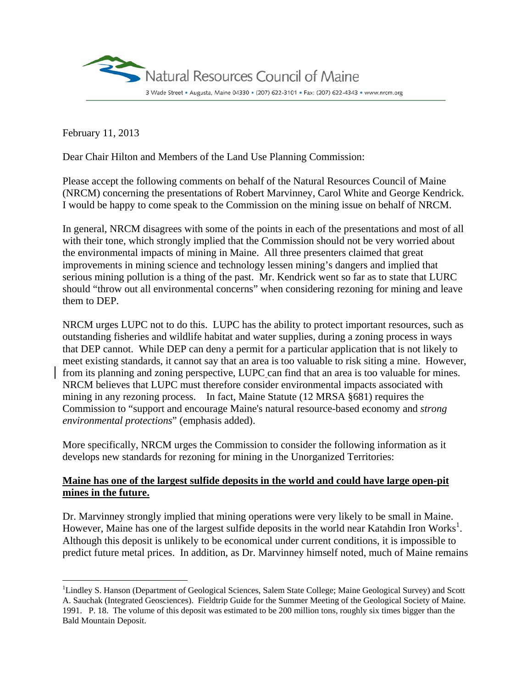

February 11, 2013

 $\overline{a}$ 

Dear Chair Hilton and Members of the Land Use Planning Commission:

Please accept the following comments on behalf of the Natural Resources Council of Maine (NRCM) concerning the presentations of Robert Marvinney, Carol White and George Kendrick. I would be happy to come speak to the Commission on the mining issue on behalf of NRCM.

In general, NRCM disagrees with some of the points in each of the presentations and most of all with their tone, which strongly implied that the Commission should not be very worried about the environmental impacts of mining in Maine. All three presenters claimed that great improvements in mining science and technology lessen mining's dangers and implied that serious mining pollution is a thing of the past. Mr. Kendrick went so far as to state that LURC should "throw out all environmental concerns" when considering rezoning for mining and leave them to DEP.

NRCM urges LUPC not to do this. LUPC has the ability to protect important resources, such as outstanding fisheries and wildlife habitat and water supplies, during a zoning process in ways that DEP cannot. While DEP can deny a permit for a particular application that is not likely to meet existing standards, it cannot say that an area is too valuable to risk siting a mine. However, from its planning and zoning perspective, LUPC can find that an area is too valuable for mines. NRCM believes that LUPC must therefore consider environmental impacts associated with mining in any rezoning process. In fact, Maine Statute (12 MRSA §681) requires the Commission to "support and encourage Maine's natural resource-based economy and *strong environmental protections*" (emphasis added).

More specifically, NRCM urges the Commission to consider the following information as it develops new standards for rezoning for mining in the Unorganized Territories:

# **Maine has one of the largest sulfide deposits in the world and could have large open-pit mines in the future.**

Dr. Marvinney strongly implied that mining operations were very likely to be small in Maine. However, Maine has one of the largest sulfide deposits in the world near Katahdin Iron Works<sup>1</sup>. Although this deposit is unlikely to be economical under current conditions, it is impossible to predict future metal prices. In addition, as Dr. Marvinney himself noted, much of Maine remains

<sup>&</sup>lt;sup>1</sup>Lindley S. Hanson (Department of Geological Sciences, Salem State College; Maine Geological Survey) and Scott A. Sauchak (Integrated Geosciences). Fieldtrip Guide for the Summer Meeting of the Geological Society of Maine. 1991. P. 18. The volume of this deposit was estimated to be 200 million tons, roughly six times bigger than the Bald Mountain Deposit.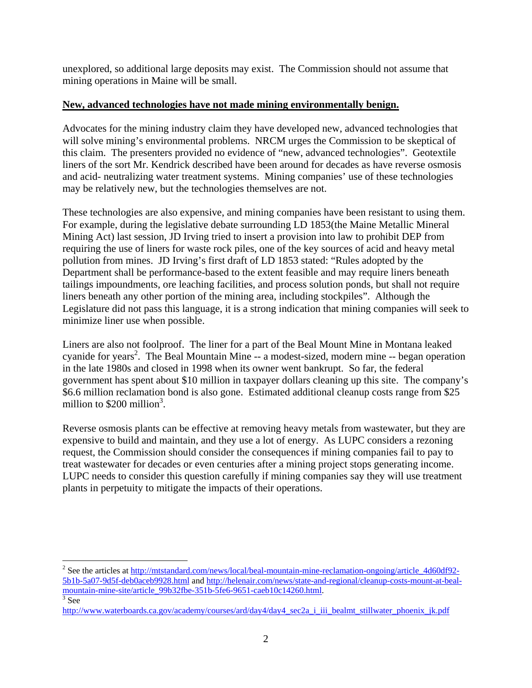unexplored, so additional large deposits may exist. The Commission should not assume that mining operations in Maine will be small.

### **New, advanced technologies have not made mining environmentally benign.**

Advocates for the mining industry claim they have developed new, advanced technologies that will solve mining's environmental problems. NRCM urges the Commission to be skeptical of this claim. The presenters provided no evidence of "new, advanced technologies". Geotextile liners of the sort Mr. Kendrick described have been around for decades as have reverse osmosis and acid- neutralizing water treatment systems. Mining companies' use of these technologies may be relatively new, but the technologies themselves are not.

These technologies are also expensive, and mining companies have been resistant to using them. For example, during the legislative debate surrounding LD 1853(the Maine Metallic Mineral Mining Act) last session, JD Irving tried to insert a provision into law to prohibit DEP from requiring the use of liners for waste rock piles, one of the key sources of acid and heavy metal pollution from mines. JD Irving's first draft of LD 1853 stated: "Rules adopted by the Department shall be performance-based to the extent feasible and may require liners beneath tailings impoundments, ore leaching facilities, and process solution ponds, but shall not require liners beneath any other portion of the mining area, including stockpiles". Although the Legislature did not pass this language, it is a strong indication that mining companies will seek to minimize liner use when possible.

Liners are also not foolproof. The liner for a part of the Beal Mount Mine in Montana leaked cyanide for years<sup>2</sup>. The Beal Mountain Mine -- a modest-sized, modern mine -- began operation in the late 1980s and closed in 1998 when its owner went bankrupt. So far, the federal government has spent about \$10 million in taxpayer dollars cleaning up this site. The company's \$6.6 million reclamation bond is also gone. Estimated additional cleanup costs range from \$25 million to  $$200$  million<sup>3</sup>.

Reverse osmosis plants can be effective at removing heavy metals from wastewater, but they are expensive to build and maintain, and they use a lot of energy. As LUPC considers a rezoning request, the Commission should consider the consequences if mining companies fail to pay to treat wastewater for decades or even centuries after a mining project stops generating income. LUPC needs to consider this question carefully if mining companies say they will use treatment plants in perpetuity to mitigate the impacts of their operations.

1

<sup>&</sup>lt;sup>2</sup> See the articles at http://mtstandard.com/news/local/beal-mountain-mine-reclamation-ongoing/article\_4d60df92-5b1b-5a07-9d5f-deb0aceb9928.html and http://helenair.com/news/state-and-regional/cleanup-costs-mount-at-bealmountain-mine-site/article\_99b32fbe-351b-5fe6-9651-caeb10c14260.html.  $\frac{3}{3}$  See

http://www.waterboards.ca.gov/academy/courses/ard/day4/day4\_sec2a\_i\_iii\_bealmt\_stillwater\_phoenix\_jk.pdf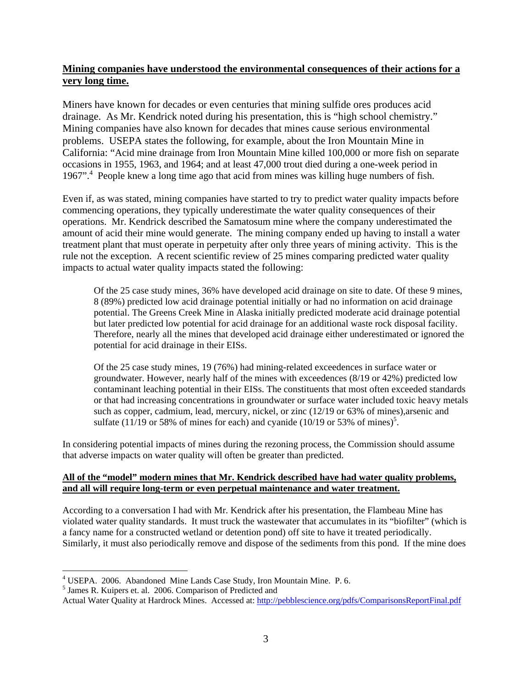### **Mining companies have understood the environmental consequences of their actions for a very long time.**

Miners have known for decades or even centuries that mining sulfide ores produces acid drainage. As Mr. Kendrick noted during his presentation, this is "high school chemistry." Mining companies have also known for decades that mines cause serious environmental problems. USEPA states the following, for example, about the Iron Mountain Mine in California: "Acid mine drainage from Iron Mountain Mine killed 100,000 or more fish on separate occasions in 1955, 1963, and 1964; and at least 47,000 trout died during a one-week period in 1967".<sup>4</sup> People knew a long time ago that acid from mines was killing huge numbers of fish.

Even if, as was stated, mining companies have started to try to predict water quality impacts before commencing operations, they typically underestimate the water quality consequences of their operations. Mr. Kendrick described the Samatosum mine where the company underestimated the amount of acid their mine would generate. The mining company ended up having to install a water treatment plant that must operate in perpetuity after only three years of mining activity. This is the rule not the exception. A recent scientific review of 25 mines comparing predicted water quality impacts to actual water quality impacts stated the following:

Of the 25 case study mines, 36% have developed acid drainage on site to date. Of these 9 mines, 8 (89%) predicted low acid drainage potential initially or had no information on acid drainage potential. The Greens Creek Mine in Alaska initially predicted moderate acid drainage potential but later predicted low potential for acid drainage for an additional waste rock disposal facility. Therefore, nearly all the mines that developed acid drainage either underestimated or ignored the potential for acid drainage in their EISs.

Of the 25 case study mines, 19 (76%) had mining-related exceedences in surface water or groundwater. However, nearly half of the mines with exceedences (8/19 or 42%) predicted low contaminant leaching potential in their EISs. The constituents that most often exceeded standards or that had increasing concentrations in groundwater or surface water included toxic heavy metals such as copper, cadmium, lead, mercury, nickel, or zinc (12/19 or 63% of mines),arsenic and sulfate (11/19 or 58% of mines for each) and cyanide (10/19 or 53% of mines)<sup>5</sup>.

In considering potential impacts of mines during the rezoning process, the Commission should assume that adverse impacts on water quality will often be greater than predicted.

#### **All of the "model" modern mines that Mr. Kendrick described have had water quality problems, and all will require long-term or even perpetual maintenance and water treatment.**

According to a conversation I had with Mr. Kendrick after his presentation, the Flambeau Mine has violated water quality standards. It must truck the wastewater that accumulates in its "biofilter" (which is a fancy name for a constructed wetland or detention pond) off site to have it treated periodically. Similarly, it must also periodically remove and dispose of the sediments from this pond. If the mine does

 $\overline{a}$ 

<sup>&</sup>lt;sup>4</sup> USEPA. 2006. Abandoned Mine Lands Case Study, Iron Mountain Mine. P. 6.

<sup>5</sup> James R. Kuipers et. al. 2006. Comparison of Predicted and

Actual Water Quality at Hardrock Mines. Accessed at: http://pebblescience.org/pdfs/ComparisonsReportFinal.pdf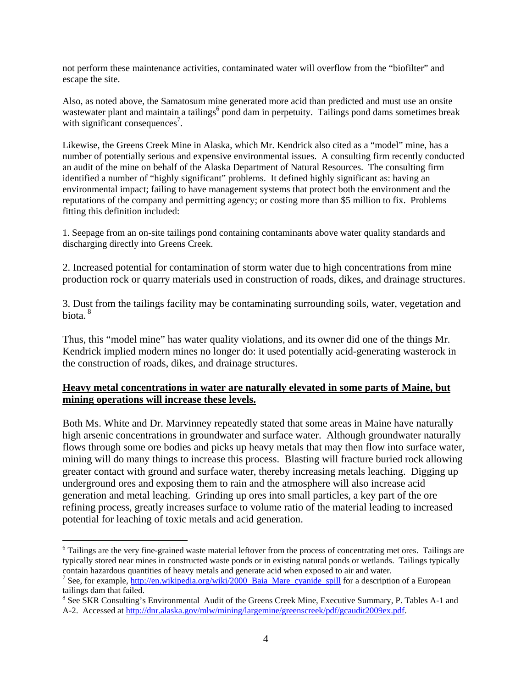not perform these maintenance activities, contaminated water will overflow from the "biofilter" and escape the site.

Also, as noted above, the Samatosum mine generated more acid than predicted and must use an onsite wastewater plant and maintain a tailings<sup>6</sup> pond dam in perpetuity. Tailings pond dams sometimes break with significant consequences<sup>7</sup>.

Likewise, the Greens Creek Mine in Alaska, which Mr. Kendrick also cited as a "model" mine, has a number of potentially serious and expensive environmental issues. A consulting firm recently conducted an audit of the mine on behalf of the Alaska Department of Natural Resources. The consulting firm identified a number of "highly significant" problems. It defined highly significant as: having an environmental impact; failing to have management systems that protect both the environment and the reputations of the company and permitting agency; or costing more than \$5 million to fix. Problems fitting this definition included:

1. Seepage from an on-site tailings pond containing contaminants above water quality standards and discharging directly into Greens Creek.

2. Increased potential for contamination of storm water due to high concentrations from mine production rock or quarry materials used in construction of roads, dikes, and drainage structures.

3. Dust from the tailings facility may be contaminating surrounding soils, water, vegetation and biota. 8

Thus, this "model mine" has water quality violations, and its owner did one of the things Mr. Kendrick implied modern mines no longer do: it used potentially acid-generating wasterock in the construction of roads, dikes, and drainage structures.

### **Heavy metal concentrations in water are naturally elevated in some parts of Maine, but mining operations will increase these levels.**

Both Ms. White and Dr. Marvinney repeatedly stated that some areas in Maine have naturally high arsenic concentrations in groundwater and surface water. Although groundwater naturally flows through some ore bodies and picks up heavy metals that may then flow into surface water, mining will do many things to increase this process. Blasting will fracture buried rock allowing greater contact with ground and surface water, thereby increasing metals leaching. Digging up underground ores and exposing them to rain and the atmosphere will also increase acid generation and metal leaching. Grinding up ores into small particles, a key part of the ore refining process, greatly increases surface to volume ratio of the material leading to increased potential for leaching of toxic metals and acid generation.

 $\overline{a}$ 

<sup>&</sup>lt;sup>6</sup> Tailings are the very fine-grained waste material leftover from the process of concentrating met ores. Tailings are typically stored near mines in constructed waste ponds or in existing natural ponds or wetlands. Tailings typically contain hazardous quantities of heavy metals and generate acid when exposed to air and water.

<sup>&</sup>lt;sup>7</sup> See, for example, http://en.wikipedia.org/wiki/2000\_Baia\_Mare\_cyanide\_spill for a description of a European tailings dam that failed.

<sup>&</sup>lt;sup>8</sup> See SKR Consulting's Environmental Audit of the Greens Creek Mine, Executive Summary, P. Tables A-1 and A-2. Accessed at http://dnr.alaska.gov/mlw/mining/largemine/greenscreek/pdf/gcaudit2009ex.pdf.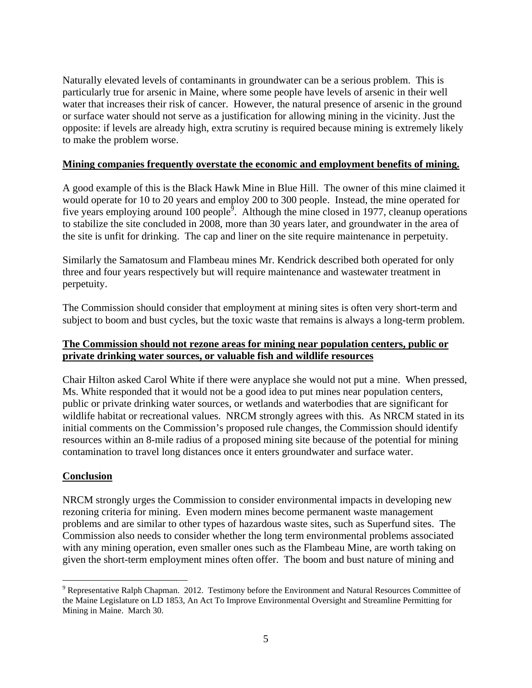Naturally elevated levels of contaminants in groundwater can be a serious problem. This is particularly true for arsenic in Maine, where some people have levels of arsenic in their well water that increases their risk of cancer. However, the natural presence of arsenic in the ground or surface water should not serve as a justification for allowing mining in the vicinity. Just the opposite: if levels are already high, extra scrutiny is required because mining is extremely likely to make the problem worse.

### **Mining companies frequently overstate the economic and employment benefits of mining.**

A good example of this is the Black Hawk Mine in Blue Hill. The owner of this mine claimed it would operate for 10 to 20 years and employ 200 to 300 people. Instead, the mine operated for five years employing around 100 people<sup> $\hat{9}$ </sup>. Although the mine closed in 1977, cleanup operations to stabilize the site concluded in 2008, more than 30 years later, and groundwater in the area of the site is unfit for drinking. The cap and liner on the site require maintenance in perpetuity.

Similarly the Samatosum and Flambeau mines Mr. Kendrick described both operated for only three and four years respectively but will require maintenance and wastewater treatment in perpetuity.

The Commission should consider that employment at mining sites is often very short-term and subject to boom and bust cycles, but the toxic waste that remains is always a long-term problem.

# **The Commission should not rezone areas for mining near population centers, public or private drinking water sources, or valuable fish and wildlife resources**

Chair Hilton asked Carol White if there were anyplace she would not put a mine. When pressed, Ms. White responded that it would not be a good idea to put mines near population centers, public or private drinking water sources, or wetlands and waterbodies that are significant for wildlife habitat or recreational values. NRCM strongly agrees with this. As NRCM stated in its initial comments on the Commission's proposed rule changes, the Commission should identify resources within an 8-mile radius of a proposed mining site because of the potential for mining contamination to travel long distances once it enters groundwater and surface water.

# **Conclusion**

 $\overline{a}$ 

NRCM strongly urges the Commission to consider environmental impacts in developing new rezoning criteria for mining. Even modern mines become permanent waste management problems and are similar to other types of hazardous waste sites, such as Superfund sites. The Commission also needs to consider whether the long term environmental problems associated with any mining operation, even smaller ones such as the Flambeau Mine, are worth taking on given the short-term employment mines often offer. The boom and bust nature of mining and

 $9$  Representative Ralph Chapman. 2012. Testimony before the Environment and Natural Resources Committee of the Maine Legislature on LD 1853, An Act To Improve Environmental Oversight and Streamline Permitting for Mining in Maine. March 30.